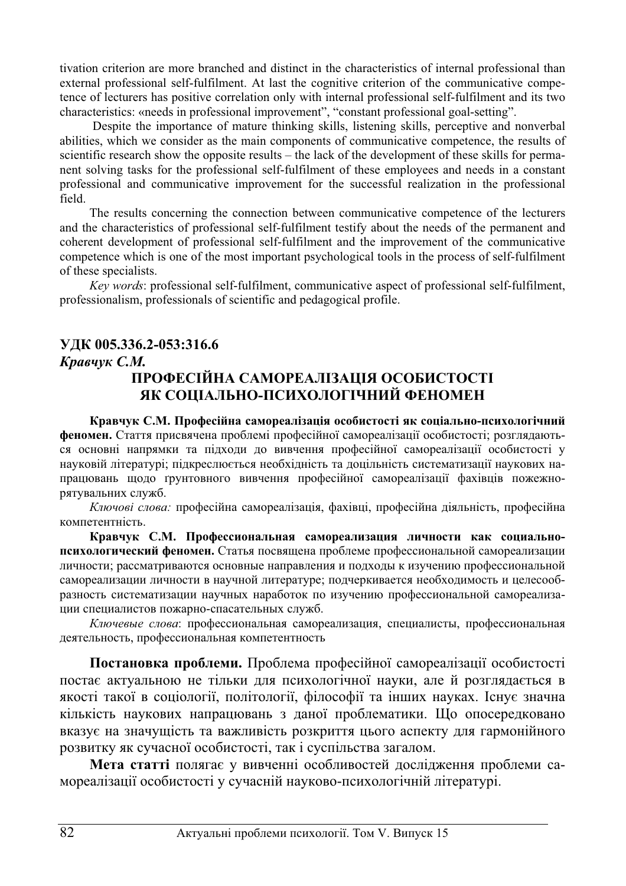tivation criterion are more branched and distinct in the characteristics of internal professional than external professional self-fulfilment. At last the cognitive criterion of the communicative competence of lecturers has positive correlation only with internal professional self-fulfilment and its two characteristics: «needs in professional improvement", "constant professional goal-setting".

 Despite the importance of mature thinking skills, listening skills, perceptive and nonverbal abilities, which we consider as the main components of communicative competence, the results of scientific research show the opposite results – the lack of the development of these skills for permanent solving tasks for the professional self-fulfilment of these employees and needs in a constant professional and communicative improvement for the successful realization in the professional field.

The results concerning the connection between communicative competence of the lecturers and the characteristics of professional self-fulfilment testify about the needs of the permanent and coherent development of professional self-fulfilment and the improvement of the communicative competence which is one of the most important psychological tools in the process of self-fulfilment of these specialists.

*Key words*: professional self-fulfilment, communicative aspect of professional self-fulfilment, professionalism, professionals of scientific and pedagogical profile.

# **ɍȾɄ 005.336.2-053:316.6**

#### *Кравчук С.М.*

# ПРОФЕСІЙНА САМОРЕАЛІЗАЦІЯ ОСОБИСТОСТІ **ЯК СОШАЛЬНО-ПСИХОЛОГІЧНИЙ ФЕНОМЕН**

Кравчук С.М. Професійна самореалізація особистості як соціально-психологічний **феномен.** Стаття присвячена проблемі професійної самореалізації особистості; розглядаються основні напрямки та підходи до вивчення професійної самореалізації особистості у науковій літературі; підкреслюється необхідність та доцільність систематизації наукових напрацювань щодо ґрунтовного вивчення професійної самореалізації фахівців пожежнорятувальних служб.

Ключові слова: професійна самореалізація, фахівці, професійна діяльність, професійна компетентність.

Кравчук С.М. Профессиональная самореализация личности как социальнопсихологический феномен. Статья посвящена проблеме профессиональной самореализации личности; рассматриваются основные направления и подходы к изучению профессиональной самореализации личности в научной литературе; подчеркивается необходимость и целесообразность систематизации научных наработок по изучению профессиональной самореализации специалистов пожарно-спасательных служб.

Ключевые слова: профессиональная самореализация, специалисты, профессиональная деятельность, профессиональная компетентность

Постановка проблеми. Проблема професійної самореалізації особистості постає актуальною не тільки для психологічної науки, але й розглядається в якості такої в соціології, політології, філософії та інших науках. Існує значна кількість наукових напрацювань з даної проблематики. Що опосередковано вказує на значущість та важливість розкриття цього аспекту для гармонійного розвитку як сучасної особистості, так і суспільства загалом.

Мета статті полягає у вивченні особливостей дослідження проблеми самореалізації особистості у сучасній науково-психологічній літературі.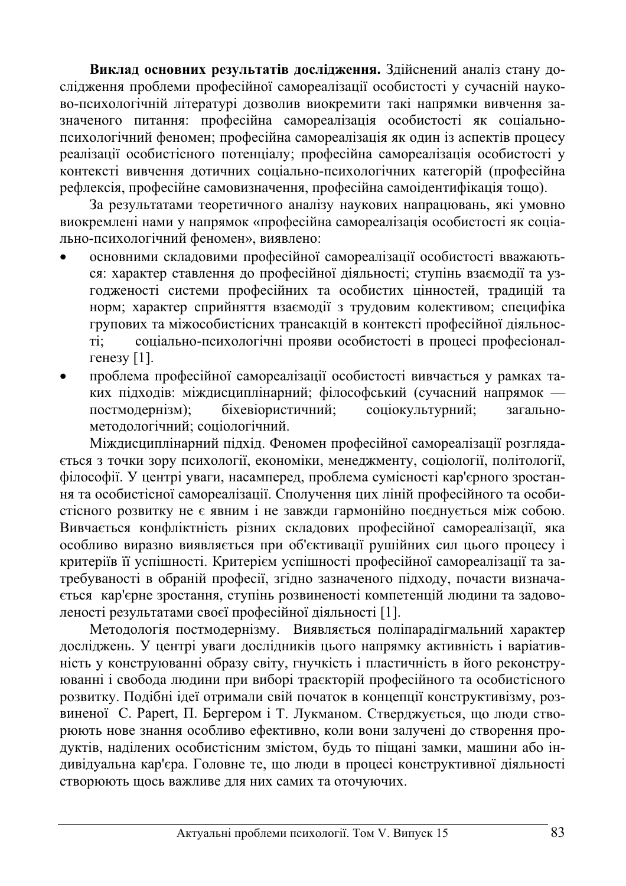Виклад основних результатів дослідження. Здійснений аналіз стану дослідження проблеми професійної самореалізації особистості у сучасній науково-психологічній літературі дозволив виокремити такі напрямки вивчення зазначеного питання: професійна самореалізація особистості як соціальнопсихологічний феномен; професійна самореалізація як один із аспектів процесу реалізації особистісного потенціалу; професійна самореалізація особистості у контексті вивчення дотичних соціально-психологічних категорій (професійна рефлексія, професійне самовизначення, професійна самоідентифікація тощо).

За результатами теоретичного аналізу наукових напрацювань, які умовно виокремлені нами у напрямок «професійна самореалізація особистості як соціально-психологічний феномен», виявлено:

- основними складовими професійної самореалізації особистості вважаються: характер ставлення до професійної діяльності; ступінь взаємодії та узгодженості системи професійних та особистих цінностей, традицій та норм; характер сприйняття взаємодії з трудовим колективом; специфіка групових та міжособистісних трансакцій в контексті професійної діяльності; соціально-психологічні прояви особистості в процесі професіоналгенезу  $[1]$ .
- проблема професійної самореалізації особистості вивчається у рамках таких підходів: міждисциплінарний; філософський (сучасний напрямок постмодернізм); біхевіористичний; соціокультурний; загальнометодологічний; соціологічний.

Міждисциплінарний підхід. Феномен професійної самореалізації розгляда-€ться з точки зору психології, економіки, менеджменту, соціології, політології, філософії. У центрі уваги, насамперед, проблема сумісності кар'єрного зростання та особистісної самореалізації. Сполучення цих ліній професійного та особистісного розвитку не є явним і не завжди гармонійно поєднується між собою. Вивчається конфліктність різних складових професійної самореалізації, яка особливо виразно виявляється при об'єктивації рушійних сил цього процесу і критеріїв її успішності. Критерієм успішності професійної самореалізації та затребуваності в обраній професії, згідно зазначеного підходу, почасти визнача-€ться кар'єрне зростання, ступінь розвиненості компетенцій людини та задоволеності результатами своєї професійної діяльності [1].

Методологія постмодернізму. Виявляється поліпарадігмальний характер досліджень. У центрі уваги дослідників цього напрямку активність і варіативність у конструюванні образу світу, гнучкість і пластичність в його реконструюванні і свобода людини при виборі траєкторій професійного та особистісного розвитку. Подібні ідеї отримали свій початок в концепції конструктивізму, розвиненої С. Papert, П. Бергером і Т. Лукманом. Стверджується, що люди створюють нове знання особливо ефективно, коли вони залучені до створення продуктів, наділених особистісним змістом, будь то піщані замки, машини або індивідуальна кар'єра. Головне те, що люди в процесі конструктивної діяльності створюють щось важливе для них самих та оточуючих.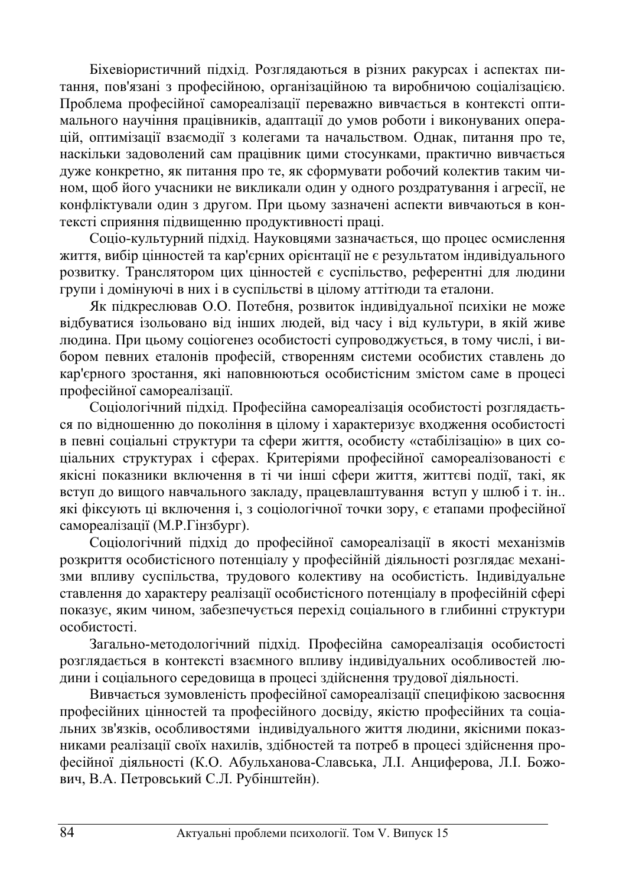Біхевіористичний підхід. Розглядаються в різних ракурсах і аспектах питання, пов'язані з професійною, організаційною та виробничою соціалізацією. Проблема професійної самореалізації переважно вивчається в контексті оптимального научіння працівників, адаптації до умов роботи і виконуваних операцій, оптимізації взаємодії з колегами та начальством. Однак, питання про те, наскільки задоволений сам працівник цими стосунками, практично вивчається дуже конкретно, як питання про те, як сформувати робочий колектив таким чином, щоб його учасники не викликали один у одного роздратування і агресії, не конфліктували один з другом. При цьому зазначені аспекти вивчаються в контексті сприяння підвищенню продуктивності праці.

Соціо-культурний підхід. Науковцями зазначається, що процес осмислення життя, вибір цінностей та кар'єрних орієнтації не є результатом індивідуального розвитку. Транслятором цих цінностей є суспільство, референтні для людини групи і домінуючі в них і в суспільстві в цілому аттітюди та еталони.

Як підкреслював О.О. Потебня, розвиток індивідуальної психіки не може відбуватися ізольовано від інших людей, від часу і від культури, в якій живе людина. При цьому соціогенез особистості супроводжується, в тому числі, і вибором певних еталонів професій, створенням системи особистих ставлень до кар'єрного зростання, які наповнюються особистісним змістом саме в процесі професійної самореалізації.

Соціологічний підхід. Професійна самореалізація особистості розглядається по відношенню до покоління в цілому і характеризує входження особистості в певні соціальні структури та сфери життя, особисту «стабілізацію» в цих соціальних структурах і сферах. Критеріями професійної самореалізованості є якісні показники включення в ті чи інші сфери життя, життєві події, такі, як вступ до вищого навчального закладу, працевлаштування вступ у шлюб і т. ін.. які фіксують ці включення і, з соціологічної точки зору, є етапами професійної самореалізації (М.Р.Гінзбург).

Соціологічний підхід до професійної самореалізації в якості механізмів розкриття особистісного потенціалу у професійній діяльності розглядає механізми впливу суспільства, трудового колективу на особистість. Індивідуальне ставлення до характеру реалізації особистісного потенціалу в професійній сфері показує, яким чином, забезпечується перехід соціального в глибинні структури особистості.

Загально-методологічний підхід. Професійна самореалізація особистості розглядається в контексті взаємного впливу індивідуальних особливостей людини і соціального середовища в процесі здійснення трудової діяльності.

Вивчається зумовленість професійної самореалізації специфікою засвоєння професійних цінностей та професійного досвіду, якістю професійних та соціальних зв'язків, особливостями індивідуального життя людини, якісними показниками реалізації своїх нахилів, здібностей та потреб в процесі здійснення професійної діяльності (К.О. Абульханова-Славська, Л.І. Анциферова, Л.І. Божович, В.А. Петровський С.Л. Рубінштейн).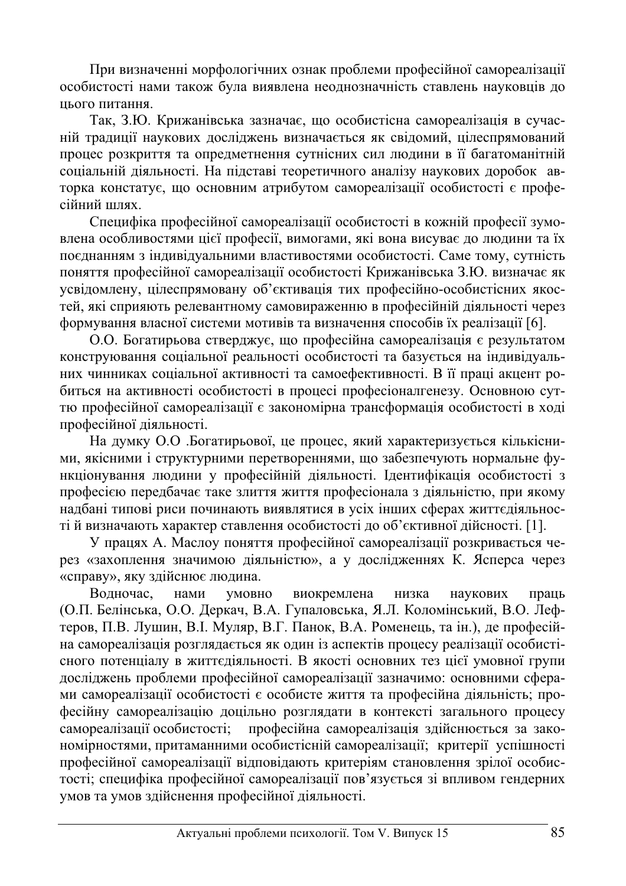При визначенні морфологічних ознак проблеми професійної самореалізації особистості нами також була виявлена неоднозначність ставлень науковців до шього питання.

Так, З.Ю. Крижанівська зазначає, що особистісна самореалізація в сучасній традиції наукових досліджень визначається як свідомий, цілеспрямований процес розкриття та опредметнення сутнісних сил людини в її багатоманітній соціальній діяльності. На підставі теоретичного аналізу наукових доробок авторка констатує, що основним атрибутом самореалізації особистості є професійний шлях.

Специфіка професійної самореалізації особистості в кожній професії зумовлена особливостями цієї професії, вимогами, які вона висуває до людини та їх поєднанням з індивідуальними властивостями особистості. Саме тому, сутність поняття професійної самореалізації особистості Крижанівська З.Ю. визначає як усвідомлену, цілеспрямовану об'єктивація тих професійно-особистісних якостей, які сприяють релевантному самовираженню в професійній діяльності через формування власної системи мотивів та визначення способів їх реалізації [6].

О.О. Богатирьова стверджує, що професійна самореалізація є результатом конструювання соціальної реальності особистості та базується на індивідуальних чинниках соціальної активності та самоефективності. В її праці акцент робиться на активності особистості в процесі професіоналгенезу. Основною суттю професійної самореалізації є закономірна трансформація особистості в ході професійної діяльності.

На думку О.О .Богатирьової, це процес, який характеризується кількісними, якісними і структурними перетвореннями, що забезпечують нормальне функціонування людини у професійній діяльності. Ідентифікація особистості з професією передбачає таке злиття життя професіонала з діяльністю, при якому надбані типові риси починають виявлятися в усіх інших сферах життєдіяльностій визначають характер ставлення особистості до об'єктивної дійсності. [1].

У працях А. Маслоу поняття професійної самореалізації розкривається через «захоплення значимою діяльністю», а у дослідженнях К. Ясперса через «справу», яку здійснює людина.

Водночас, нами умовно виокремлена низка наукових праць (О.П. Белінська, О.О. Деркач, В.А. Гупаловська, Я.Л. Коломінський, В.О. Лефтеров, П.В. Лушин, В.І. Муляр, В.Г. Панок, В.А. Роменець, та ін.), де професійна самореалізація розглядається як один із аспектів процесу реалізації особистісного потенціалу в життєдіяльності. В якості основних тез цієї умовної групи досліджень проблеми професійної самореалізації зазначимо: основними сферами самореалізації особистості є особисте життя та професійна діяльність; професійну самореалізацію доцільно розглядати в контексті загального процесу самореалізації особистості; професійна самореалізація здійснюється за закономірностями, притаманними особистісній самореалізації; критерії успішності професійної самореалізації відповідають критеріям становлення зрілої особистості; специфіка професійної самореалізації пов'язується зі впливом гендерних умов та умов здійснення професійної діяльності.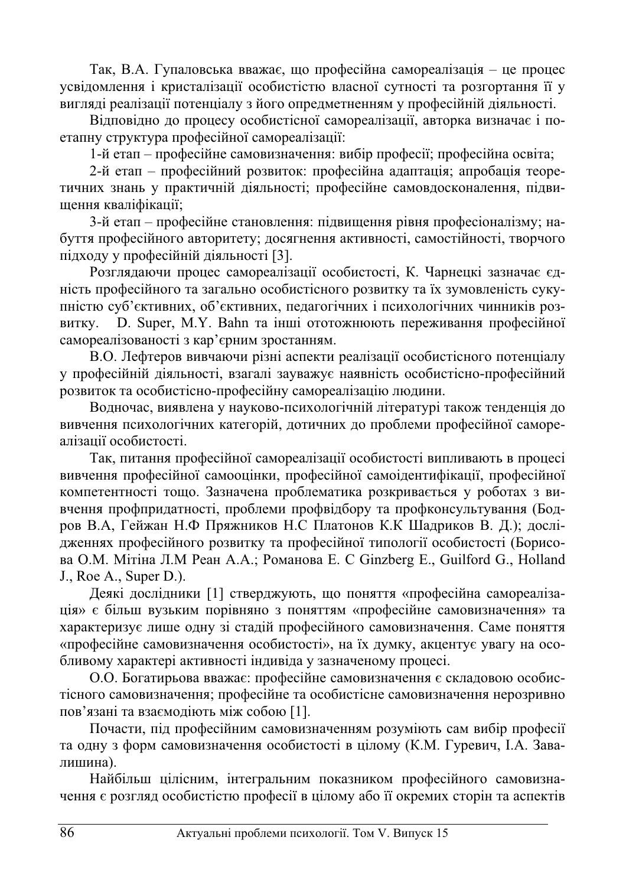Так, В.А. Гупаловська вважає, що професійна самореалізація – це процес усвідомлення і кристалізації особистістю власної сутності та розгортання її у вигляді реалізації потенціалу з його опредметненням у професійній діяльності.

Відповідно до процесу особистісної самореалізації, авторка визначає і поетапну структура професійної самореалізації:

1-й етап – професійне самовизначення: вибір професії; професійна освіта;

2-й етап – професійний розвиток: професійна адаптація; апробація теоретичних знань у практичній діяльності; професійне самовдосконалення, підвищення кваліфікації;

3-й етап – професійне становлення: підвищення рівня професіоналізму; набуття професійного авторитету; досягнення активності, самостійності, творчого підходу у професійній діяльності [3].

Розглядаючи процес самореалізації особистості, К. Чарнецкі зазначає єдність професійного та загально особистісного розвитку та їх зумовленість сукупністю суб'єктивних, об'єктивних, педагогічних і психологічних чинників розвитку. D. Super, M.Y. Bahn та інші ототожнюють переживання професійної самореалізованості з кар'єрним зростанням.

В.О. Лефтеров вивчаючи різні аспекти реалізації особистісного потенціалу у професійній діяльності, взагалі зауважує наявність особистісно-професійний розвиток та особистісно-професійну самореалізацію людини.

Водночас, виявлена у науково-психологічній літературі також тенденція до вивчення психологічних категорій, дотичних до проблеми професійної самореалізації особистості.

Так, питання професійної самореалізації особистості випливають в процесі вивчення професійної самооцінки, професійної самоідентифікації, професійної компетентності тощо. Зазначена проблематика розкривається у роботах з вивчення профпридатності, проблеми профвідбору та профконсультування (Бодров В.А, Гейжан Н.Ф Пряжников Н.С Платонов К.К Шадриков В. Д.); дослідженнях професійного розвитку та професійної типології особистості (Борисова О.М. Мітіна Л.М Реан А.А.; Романова Е. С Ginzberg E., Guilford G., Holland J., Roe A., Super D.).

Деякі дослідники [1] стверджують, що поняття «професійна самореалізація» є більш вузьким порівняно з поняттям «професійне самовизначення» та характеризує лише одну зі стадій професійного самовизначення. Саме поняття «професійне самовизначення особистості», на їх думку, акцентує увагу на особливому характері активності індивіда у зазначеному процесі.

О.О. Богатирьова вважає: професійне самовизначення є складовою особистісного самовизначення; професійне та особистісне самовизначення нерозривно пов'язані та взаємодіють між собою [1].

Почасти, під професійним самовизначенням розуміють сам вибір професії та одну з форм самовизначення особистості в цілому (К.М. Гуревич, І.А. Завалишина).

Найбільш цілісним, інтегральним показником професійного самовизначення є розгляд особистістю професії в цілому або її окремих сторін та аспектів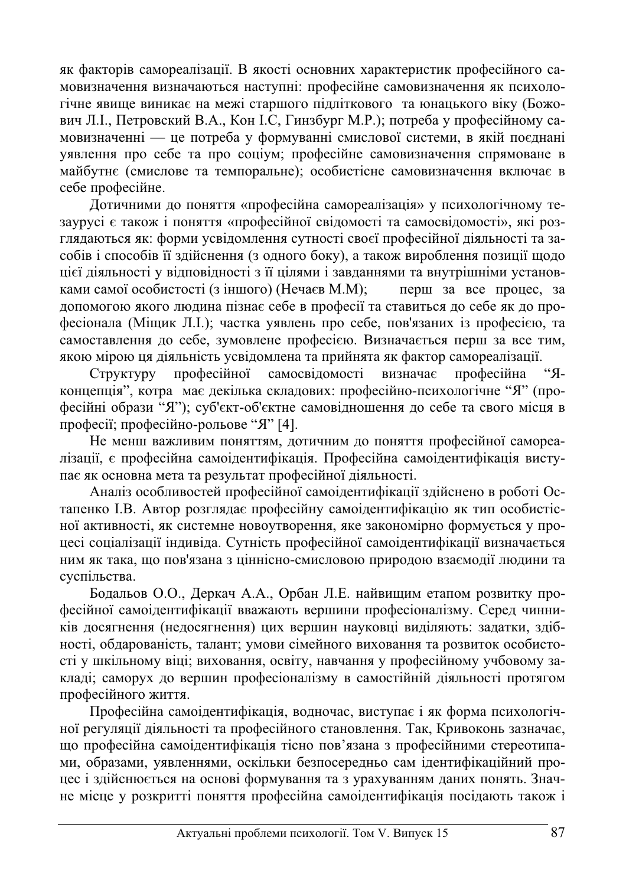як факторів самореалізації. В якості основних характеристик професійного самовизначення визначаються наступні: професійне самовизначення як психологічне явище виникає на межі старшого підліткового та юнацького віку (Божович Л.І., Петровский В.А., Кон І.С, Гинзбург М.Р.); потреба у професійному самовизначенні — це потреба у формуванні смислової системи, в якій поєднані уявлення про себе та про соціум; професійне самовизначення спрямоване в майбутнє (смислове та темпоральне); особистісне самовизначення включає в себе професійне.

Дотичними до поняття «професійна самореалізація» у психологічному тезаурусі є також і поняття «професійної свідомості та самосвідомості», які розглядаються як: форми усвідомлення сутності своєї професійної діяльності та засобів і способів її здійснення (з одного боку), а також вироблення позиції щодо цієї діяльності у відповідності з її цілями і завданнями та внутрішніми установками самої особистості (з іншого) (Нечаєв М.М); перш за все процес, за допомогою якого людина пізнає себе в професії та ставиться до себе як до професіонала (Міщик Л.І.); частка уявлень про себе, пов'язаних із професією, та самоставлення до себе, зумовлене професією. Визначається перш за все тим, якою мірою ця діяльність усвідомлена та прийнята як фактор самореалізації.

Структуру професійної самосвідомості визначає професійна "Яконцепція", котра має декілька складових: професійно-психологічне "Я" (професійні образи "Я"); суб'єкт-об'єктне самовідношення до себе та свого місця в професії; професійно-рольове "Я" [4].

Не менш важливим поняттям, дотичним до поняття професійної самореалізації, є професійна самоідентифікація. Професійна самоідентифікація виступає як основна мета та результат професійної діяльності.

Аналіз особливостей професійної самоілентифікації злійснено в роботі Остапенко І.В. Автор розглядає професійну самоідентифікацію як тип особистісної активності, як системне новоутворення, яке закономірно формується у процесі соціалізації індивіда. Сутність професійної самоідентифікації визначається ним як така, що пов'язана з ціннісно-смисловою природою взаємодії людини та суспільства.

Бодальов О.О., Деркач А.А., Орбан Л.Е. найвищим етапом розвитку професійної самоідентифікації вважають вершини професіоналізму. Серед чинників досягнення (недосягнення) цих вершин науковці виділяють: задатки, здібності, обдарованість, талант; умови сімейного виховання та розвиток особистості у шкільному віці; виховання, освіту, навчання у професійному учбовому закладі; саморух до вершин професіоналізму в самостійній діяльності протягом професійного життя.

Професійна самоідентифікація, водночас, виступає і як форма психологічної регуляції діяльності та професійного становлення. Так, Кривоконь зазначає, що професійна самоідентифікація тісно пов'язана з професійними стереотипами, образами, уявленнями, оскільки безпосередньо сам ідентифікаційний процес і здійснюється на основі формування та з урахуванням даних понять. Значне місце у розкритті поняття професійна самоідентифікація посідають також і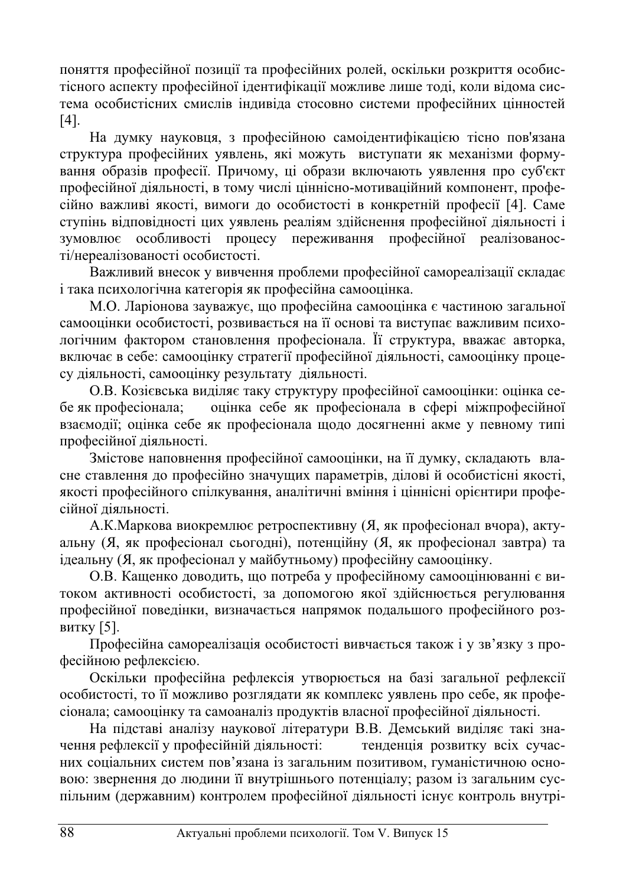поняття професійної позиції та професійних ролей, оскільки розкриття особистісного аспекту професійної ідентифікації можливе лише тоді, коли відома система особистісних смислів індивіда стосовно системи професійних цінностей [4].

На думку науковця, з професійною самоідентифікацією тісно пов'язана структура професійних уявлень, які можуть виступати як механізми формування образів професії. Причому, ці образи включають уявлення про суб'єкт професійної діяльності, в тому числі ціннісно-мотиваційний компонент, професійно важливі якості, вимоги до особистості в конкретній професії [4]. Саме ступінь відповідності цих уявлень реаліям здійснення професійної діяльності і зумовлює особливості процесу переживання професійної реалізованості/нереалізованості особистості.

Важливий внесок у вивчення проблеми професійної самореалізації складає і така психологічна категорія як професійна самооцінка.

М.О. Ларіонова зауважує, що професійна самооцінка є частиною загальної самооцінки особистості, розвивається на її основі та виступає важливим психологічним фактором становлення професіонала. Її структура, вважає авторка, включає в себе: самооцінку стратегії професійної діяльності, самооцінку процесу діяльності, самооцінку результату діяльності.

О.В. Козієвська виділяє таку структуру професійної самооцінки: оцінка себе як професіонала; и оцінка себе як професіонала в сфері міжпрофесійної взаємодії; оцінка себе як професіонала щодо досягненні акме у певному типі професійної діяльності.

Змістове наповнення професійної самооцінки, на її думку, складають власне ставлення до професійно значущих параметрів, ділові й особистісні якості, якості професійного спілкування, аналітичні вміння і ціннісні орієнтири професійної діяльності.

А.К.Маркова виокремлює ретроспективну (Я, як професіонал вчора), актуальну (Я, як професіонал сьогодні), потенційну (Я, як професіонал завтра) та ідеальну (Я, як професіонал у майбутньому) професійну самооцінку.

О.В. Кащенко доводить, що потреба у професійному самооцінюванні є витоком активності особистості, за допомогою якої здійснюється регулювання професійної поведінки, визначається напрямок подальшого професійного розвитку  $[5]$ .

Професійна самореалізація особистості вивчається також і у зв'язку з професійною рефлексією.

Оскільки професійна рефлексія утворюється на базі загальної рефлексії особистості, то її можливо розглядати як комплекс уявлень про себе, як професіонала; самооцінку та самоаналіз продуктів власної професійної діяльності.

На підставі аналізу наукової літератури В.В. Демський виділяє такі значення рефлексії у професійній діяльності: тенденція розвитку всіх сучасних соціальних систем пов'язана із загальним позитивом, гуманістичною основою: звернення до людини її внутрішнього потенціалу; разом із загальним суспільним (державним) контролем професійної діяльності існує контроль внутрі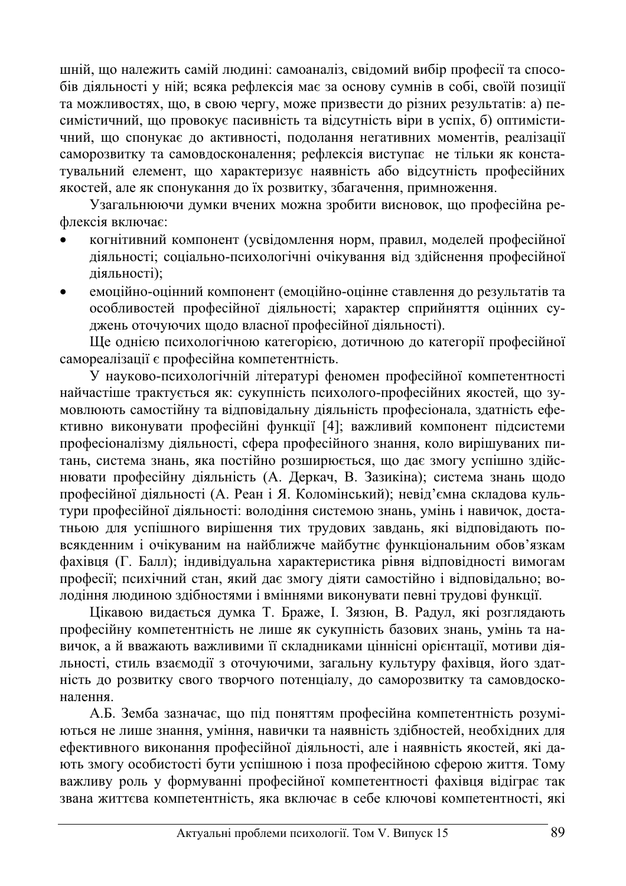шній, що належить самій людині: самоаналіз, свідомий вибір професії та способів діяльності у ній; всяка рефлексія має за основу сумнів в собі, своїй позиції та можливостях, що, в свою чергу, може призвести до різних результатів: а) песимістичний, що провокує пасивність та відсутність віри в успіх, б) оптимістичний, що спонукає до активності, подолання негативних моментів, реалізації саморозвитку та самовдосконалення; рефлексія виступає не тільки як констатувальний елемент, що характеризує наявність або відсутність професійних якостей, але як спонукання до їх розвитку, збагачення, примноження.

Узагальнюючи думки вчених можна зробити висновок, що професійна рефлексія включає:

- когнітивний компонент (усвідомлення норм, правил, моделей професійної діяльності; соціально-психологічні очікування від здійснення професійної діяльності);
- емоційно-оцінний компонент (емоційно-оцінне ставлення до результатів та особливостей професійної діяльності; характер сприйняття оцінних суджень оточуючих щодо власної професійної діяльності).

Ше однією психологічною категорією, дотичною до категорії професійної самореалізації є професійна компетентність.

У науково-психологічній літературі феномен професійної компетентності найчастіше трактується як: сукупність психолого-професійних якостей, що зумовлюють самостійну та відповідальну діяльність професіонала, здатність ефективно виконувати професійні функції [4]; важливий компонент підсистеми професіоналізму діяльності, сфера професійного знання, коло вирішуваних питань, система знань, яка постійно розширюється, що дає змогу успішно здійснювати професійну діяльність (А. Деркач, В. Зазикіна); система знань щодо професійної діяльності (А. Реан і Я. Коломінський); невід'ємна складова культури професійної діяльності: володіння системою знань, умінь і навичок, достатньою для успішного вирішення тих трудових завдань, які відповідають повсякденним і очікуваним на найближче майбутнє функціональним обов'язкам фахівця (Г. Балл); індивідуальна характеристика рівня відповідності вимогам професії; психічний стан, який дає змогу діяти самостійно і відповідально; володіння людиною здібностями і вміннями виконувати певні трудові функції.

Цікавою видається думка Т. Браже, І. Зязюн, В. Радул, які розглядають професійну компетентність не лише як сукупність базових знань, умінь та навичок, а й вважають важливими її складниками ціннісні орієнтації, мотиви діяльності, стиль взаємодії з оточуючими, загальну культуру фахівця, його здатність до розвитку свого творчого потенціалу, до саморозвитку та самовдосконалення.

А.Б. Земба зазначає, що під поняттям професійна компетентність розуміються не лише знання, уміння, навички та наявність здібностей, необхідних для ефективного виконання професійної діяльності, але і наявність якостей, які дають змогу особистості бути успішною і поза професійною сферою життя. Тому важливу роль у формуванні професійної компетентності фахівця відіграє так звана життєва компетентність, яка включає в себе ключові компетентності, які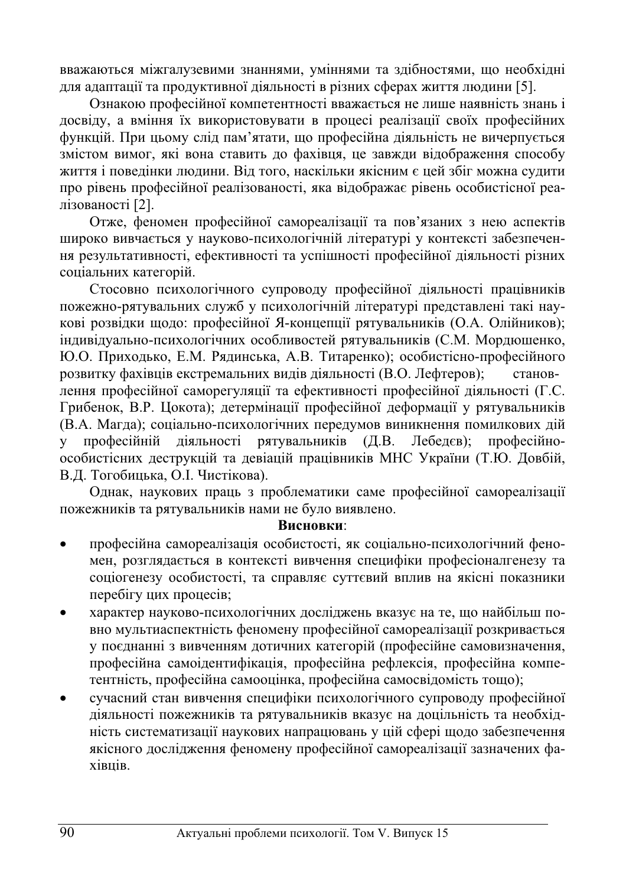вважаються міжгалузевими знаннями, уміннями та здібностями, що необхідні для адаптації та продуктивної діяльності в різних сферах життя людини [5].

Ознакою професійної компетентності вважається не лише наявність знань і досвіду, а вміння їх використовувати в процесі реалізації своїх професійних функцій. При цьому слід пам'ятати, що професійна діяльність не вичерпується змістом вимог, які вона ставить до фахівця, це завжди відображення способу життя і поведінки людини. Від того, наскільки якісним є цей збіг можна судити про рівень професійної реалізованості, яка відображає рівень особистісної реалізованості [2].

Отже, феномен професійної самореалізації та пов'язаних з нею аспектів широко вивчається у науково-психологічній літературі у контексті забезпечення результативності, ефективності та успішності професійної діяльності різних соціальних категорій.

Стосовно психологічного супроводу професійної діяльності працівників пожежно-рятувальних служб у психологічній літературі представлені такі наукові розвідки щодо: професійної Я-концепції рятувальників (О.А. Олійников); індивідуально-психологічних особливостей рятувальників (С.М. Мордюшенко, Ю.О. Приходько, Е.М. Рядинська, А.В. Титаренко); особистісно-професійного розвитку фахівців екстремальних видів діяльності (В.О. Лефтеров); становлення професійної саморегуляції та ефективності професійної діяльності (Г.С. Грибенок, В.Р. Цокота); детермінації професійної деформації у рятувальників (В.А. Магда); соціально-психологічних передумов виникнення помилкових дій у професійній діяльності рятувальників (Д.В. Лебедєв); професійноособистісних деструкцій та девіацій працівників МНС України (Т.Ю. Довбій, В.Д. Тогобицька, О.І. Чистікова).

Однак, наукових праць з проблематики саме професійної самореалізації пожежників та рятувальників нами не було виявлено.

#### **Висновки:**

- професійна самореалізація особистості, як соціально-психологічний феномен, розглядається в контексті вивчення специфіки професіоналгенезу та соціогенезу особистості, та справляє суттєвий вплив на якісні показники перебігу цих процесів;
- характер науково-психологічних досліджень вказує на те, що найбільш повно мультиаспектність феномену професійної самореалізації розкривається у поєднанні з вивченням дотичних категорій (професійне самовизначення, професійна самоідентифікація, професійна рефлексія, професійна компетентність, професійна самооцінка, професійна самосвідомість тощо);
- сучасний стан вивчення специфіки психологічного супроводу професійної діяльності пожежників та рятувальників вказує на доцільність та необхідність систематизації наукових напрацювань у цій сфері щодо забезпечення якісного дослідження феномену професійної самореалізації зазначених фаxibuib.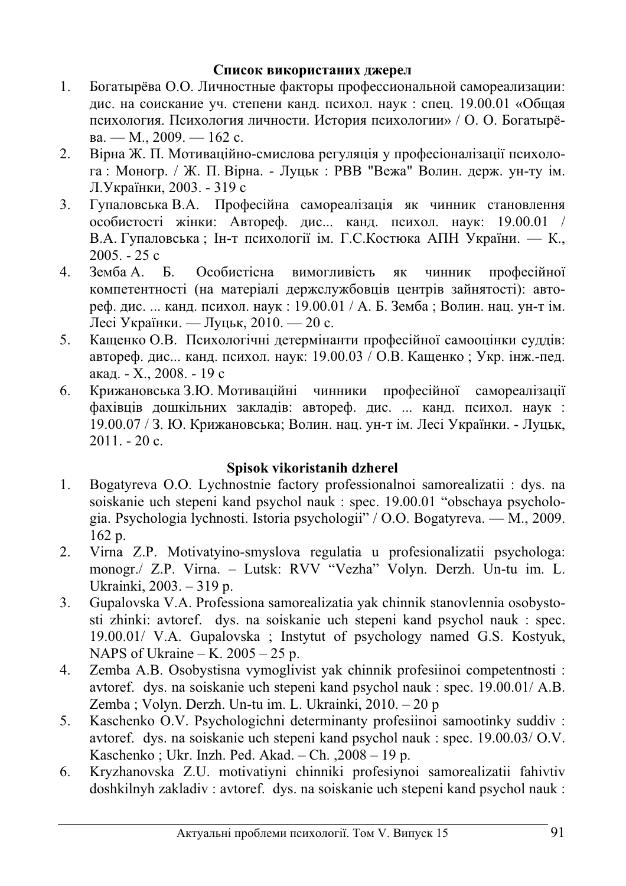# Список використаних джерел

- 1. Богатырёва О.О. Личностные факторы профессиональной самореализации: дис. на соискание уч. степени канд. психол. наук: спец. 19.00.01 «Общая психология. Психология личности. История психологии» / О. О. Богатырёва. — М., 2009. — 162 с.
- 2. Вірна Ж. П. Мотиваційно-смислова регуляція у професіоналізації психолога: Моногр. / Ж. П. Вірна. - Луцьк: РВВ "Вежа" Волин. держ. ун-ту ім. Л.Українки, 2003. - 319 с
- 3. Гупаловська В.А. Професійна самореалізація як чинник становлення особистості жінки: Автореф. дис... канд. психол. наук: 19.00.01 / В.А. Гупаловська; Ін-т психології ім. Г.С. Костюка АПН України. — К.,  $2005. - 25c$
- 4. Земба А. Б. Особистісна вимогливість як чинник професійної компетентності (на матеріалі держслужбовців центрів зайнятості): автореф. дис. ... канд. психол. наук: 19.00.01 / А. Б. Земба; Волин. нац. ун-т ім. Лесі Українки. — Луцьк, 2010. — 20 с.
- 5. Кащенко О.В. Психологічні детермінанти професійної самооцінки суддів: автореф. дис... канд. психол. наук: 19.00.03 / О.В. Кащенко; Укр. інж.-пед. акад. - Х., 2008. - 19 с
- 6. Крижановська З.Ю. Мотиваційні чинники професійної самореалізації фахівців дошкільних закладів: автореф. дис. ... канд. психол. наук : 19.00.07 / З. Ю. Крижановська; Волин. нац. ун-т ім. Лесі Українки. - Луцьк,  $2011. - 20c.$

# **Spisok vikoristanih dzherel**

- 1. Bogatyreva O.O. Lychnostnie factory professionalnoi samorealizatii : dys. na soiskanie uch stepeni kand psychol nauk : spec. 19.00.01 "obschaya psychologia. Psychologia lychnosti. Istoria psychologii" / O.O. Bogatyreva. — M., 2009. 162 p.
- 2. Virna Z.P. Motivatyino-smyslova regulatia u profesionalizatii psychologa: monogr./ Z.P. Virna. – Lutsk: RVV "Vezha" Volyn. Derzh. Un-tu im. L. Ukrainki, 2003. – 319 p.
- 3. Gupalovska V.A. Professiona samorealizatia yak chinnik stanovlennia osobystosti zhinki: avtoref. dys. na soiskanie uch stepeni kand psychol nauk : spec. 19.00.01/ V.A. Gupalovska ; Instytut of psychology named G.S. Kostyuk, NAPS of Ukraine – K.  $2005 - 25$  p.
- 4. Zemba A.B. Osobystisna vymoglivist yak chinnik profesiinoi competentnosti : avtoref. dys. na soiskanie uch stepeni kand psychol nauk : spec. 19.00.01/ A.B. Zemba ; Volyn. Derzh. Un-tu im. L. Ukrainki, 2010. – 20 p
- 5. Kaschenko O.V. Psychologichni determinanty profesiinoi samootinky suddiv : avtoref. dys. na soiskanie uch stepeni kand psychol nauk : spec. 19.00.03/ O.V. Kaschenko ; Ukr. Inzh. Ped. Akad. – Ch. ,2008 – 19 p.
- 6. Kryzhanovska Z.U. motivatiyni chinniki profesiynoi samorealizatii fahivtiv doshkilnyh zakladiv : avtoref. dys. na soiskanie uch stepeni kand psychol nauk :